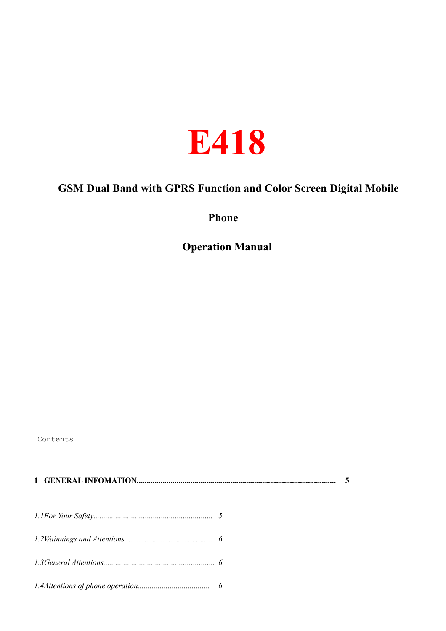

# **GSM Dual Band with GPRS Function and Color Screen Digital Mobile**

**Phone**

**Operation Manual**

Contents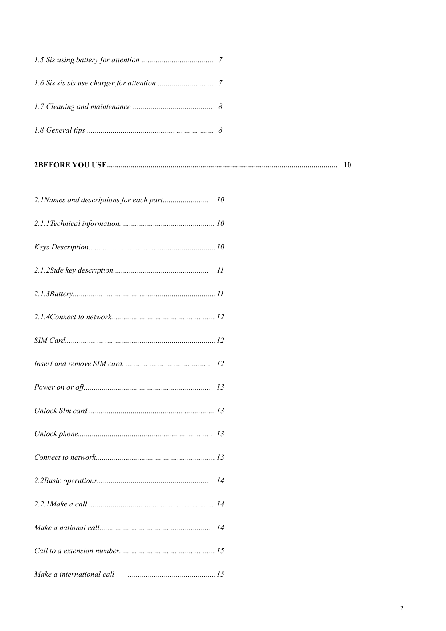|                           | -10 |
|---------------------------|-----|
|                           |     |
|                           |     |
|                           |     |
|                           |     |
|                           |     |
|                           |     |
|                           |     |
|                           |     |
|                           |     |
|                           |     |
|                           |     |
|                           |     |
|                           |     |
|                           |     |
|                           |     |
|                           |     |
| Make a international call |     |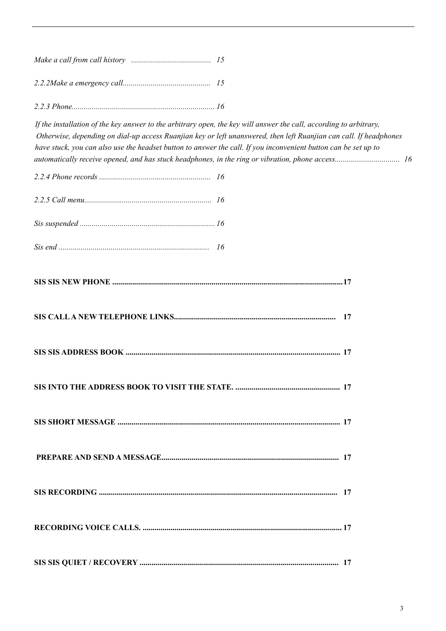*2.2.3 Phone....................................................................... 16*

If the installation of the key answer to the arbitrary open, the key will answer the call, according to arbitrary, *Otherwise, depending on dial-up access Ruanjian key or left unanswered, then left Ruanjian can call. If headphones have stuck, you can also use the headset button to answer the call. If you inconvenient button can be set up to automatically receive opened, and has stuck headphones, in the ring or vibration, phone access................................ 16*

| -17 |
|-----|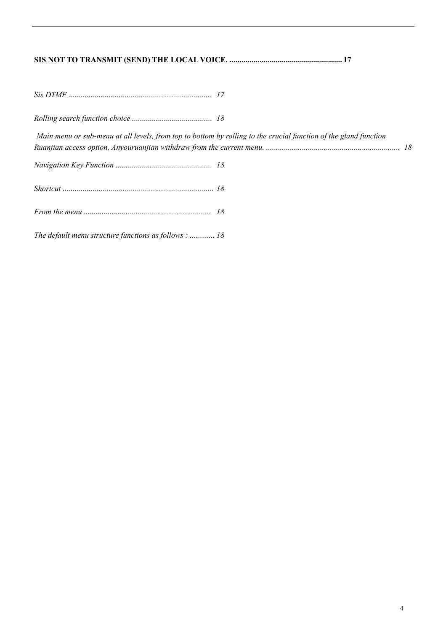| Main menu or sub-menu at all levels, from top to bottom by rolling to the crucial function of the gland function |  |  |
|------------------------------------------------------------------------------------------------------------------|--|--|
|                                                                                                                  |  |  |
|                                                                                                                  |  |  |
|                                                                                                                  |  |  |
| The default menu structure functions as follows :  18                                                            |  |  |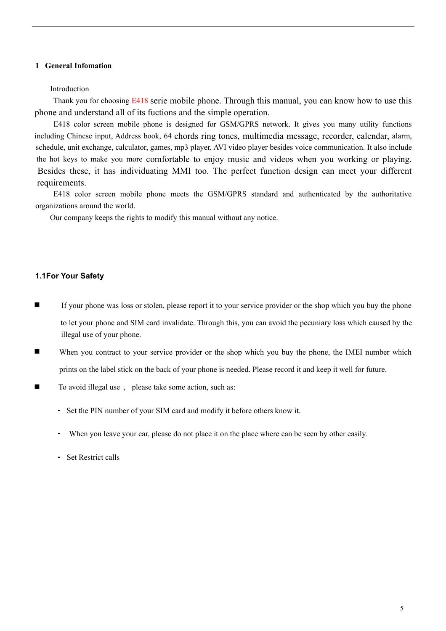### **1 General Infomation**

#### Introduction

Thank you for choosing E418 serie mobile phone. Through this manual, you can know how to use this phone and understand all of its fuctions and the simple operation.

E418 color screen mobile phone is designed for GSM/GPRS network. It gives you many utility functions including Chinese input, Address book, 64 chords ring tones, multimedia message, recorder, calendar, alarm, schedule, unit exchange, calculator, games, mp3 player, AVI video player besides voice communication. It also include the hot keys to make you more comfortable to enjoy music and videos when you working or playing. Besides these, it has individuating MMI too. The perfect function design can meet your different requirements.

E418 color screen mobile phone meets the GSM/GPRS standard and authenticated by the authoritative organizations around the world.

Our company keeps the rights to modify this manual without any notice.

#### **1.1For Your Safety**

- n If your phone was loss or stolen, please report it to your service provider or the shop which you buy the phone to let your phone and SIM card invalidate. Through this, you can avoid the pecuniary loss which caused by the illegal use of your phone.
- **n** When you contract to your service provider or the shop which you buy the phone, the IMEI number which prints on the label stick on the back of your phone is needed. Please record it and keep it well for future.
- To avoid illegal use, please take some action, such as:
	- Set the PIN number of your SIM card and modify it before others know it.
	- When you leave your car, please do not place it on the place where can be seen by other easily.
	- Set Restrict calls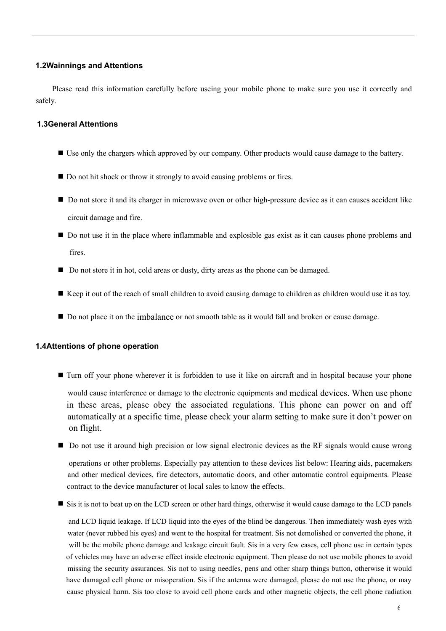### **1.2Wainnings and Attentions**

Please read this information carefully before useing your mobile phone to make sure you use it correctly and safely.

# **1.3General Attentions**

- Use only the chargers which approved by our company. Other products would cause damage to the battery.
- Do not hit shock or throw it strongly to avoid causing problems or fires.
- Do not store it and its charger in microwave oven or other high-pressure device as it can causes accident like circuit damage and fire.
- Do not use it in the place where inflammable and explosible gas exist as it can causes phone problems and fires.
- Do not store it in hot, cold areas or dusty, dirty areas as the phone can be damaged.
- n Keep it out of the reach of small children to avoid causing damage to children as children would use it as toy.
- Do not place it on the imbalance or not smooth table as it would fall and broken or cause damage.

### **1.4Attentions of phone operation**

on flight.

- Turn off your phone wherever it is forbidden to use it like on aircraft and in hospital because your phone would cause interference or damage to the electronic equipments and medical devices. When use phone in these areas, please obey the associated regulations. This phone can power on and off
- Do not use it around high precision or low signal electronic devices as the RF signals would cause wrong

automatically at a specific time, please check your alarm setting to make sure it don't power on

operations or other problems. Especially pay attention to these devices list below: Hearing aids, pacemakers and other medical devices, fire detectors, automatic doors, and other automatic control equipments. Please contract to the device manufacturer ot local sales to know the effects.

■ Sis it is not to beat up on the LCD screen or other hard things, otherwise it would cause damage to the LCD panels

and LCD liquid leakage. If LCD liquid into the eyes of the blind be dangerous. Then immediately wash eyes with water (never rubbed his eyes) and went to the hospital for treatment. Sis not demolished or converted the phone, it will be the mobile phone damage and leakage circuit fault. Sis in a very few cases, cell phone use in certain types of vehicles may have an adverse effect inside electronic equipment. Then please do not use mobile phones to avoid missing the security assurances. Sis not to using needles, pens and other sharp things button, otherwise it would have damaged cell phone or misoperation. Sis if the antenna were damaged, please do not use the phone, or may cause physical harm. Sis too close to avoid cell phone cards and other magnetic objects, the cell phone radiation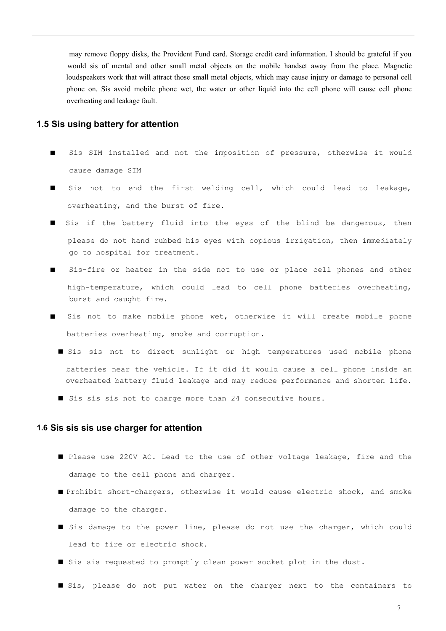may remove floppy disks, the Provident Fund card. Storage credit card information. I should be grateful if you would sis of mental and other small metal objects on the mobile handset away from the place. Magnetic loudspeakers work that will attract those small metal objects, which may cause injury or damage to personal cell phone on. Sis avoid mobile phone wet, the water or other liquid into the cell phone will cause cell phone overheating and leakage fault.

### **1.5 Sis using battery for attention**

- Sis SIM installed and not the imposition of pressure, otherwise it would cause damage SIM
- I Sis not to end the first welding cell, which could lead to leakage, overheating, and the burst of fire.
- Sis if the battery fluid into the eyes of the blind be dangerous, then please do not hand rubbed his eyes with copious irrigation, then immediately go to hospital for treatment.
- Sis-fire or heater in the side not to use or place cell phones and other high-temperature, which could lead to cell phone batteries overheating, burst and caught fire.
- Sis not to make mobile phone wet, otherwise it will create mobile phone batteries overheating, smoke and corruption.
	- I Sis sis not to direct sunlight or high temperatures used mobile phone batteries near the vehicle. If it did it would cause a cell phone inside an overheated battery fluid leakage and may reduce performance and shorten life.
	- Sis sis sis not to charge more than 24 consecutive hours.

#### **1.6 Sis sis sis use charger for attention**

- n Please use 220V AC. Lead to the use of other voltage leakage, fire and the damage to the cell phone and charger.
- n Prohibit short-chargers, otherwise it would cause electric shock, and smoke damage to the charger.
- Sis damage to the power line, please do not use the charger, which could lead to fire or electric shock.
- In Sis sis requested to promptly clean power socket plot in the dust.
- Sis, please do not put water on the charger next to the containers to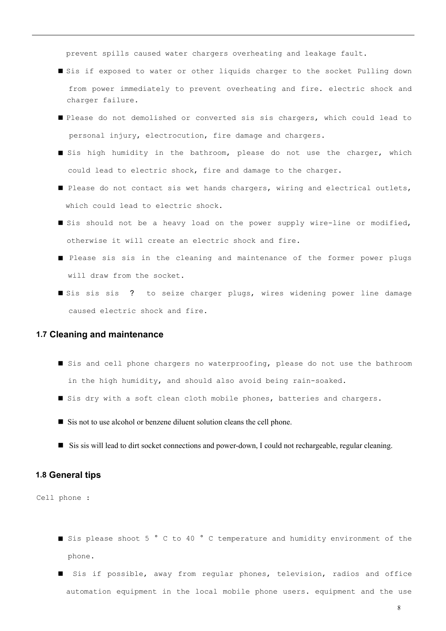prevent spills caused water chargers overheating and leakage fault.

- Sis if exposed to water or other liquids charger to the socket Pulling down from power immediately to prevent overheating and fire. electric shock and charger failure.
- Please do not demolished or converted sis sis chargers, which could lead to personal injury, electrocution, fire damage and chargers.
- I Sis high humidity in the bathroom, please do not use the charger, which could lead to electric shock, fire and damage to the charger.
- Please do not contact sis wet hands chargers, wiring and electrical outlets, which could lead to electric shock.
- If Sis should not be a heavy load on the power supply wire-line or modified, otherwise it will create an electric shock and fire.
- Please sis sis in the cleaning and maintenance of the former power plugs will draw from the socket.
- Sis sis sis ? to seize charger plugs, wires widening power line damage caused electric shock and fire.

#### **1.7 Cleaning and maintenance**

- Sis and cell phone chargers no waterproofing, please do not use the bathroom in the high humidity, and should also avoid being rain-soaked.
- I Sis dry with a soft clean cloth mobile phones, batteries and chargers.
- Sis not to use alcohol or benzene diluent solution cleans the cell phone.
- Sis sis will lead to dirt socket connections and power-down, I could not rechargeable, regular cleaning.

#### **1.8 General tips**

Cell phone :

- Sis please shoot 5 ° C to 40 ° C temperature and humidity environment of the phone.
- Sis if possible, away from regular phones, television, radios and office automation equipment in the local mobile phone users. equipment and the use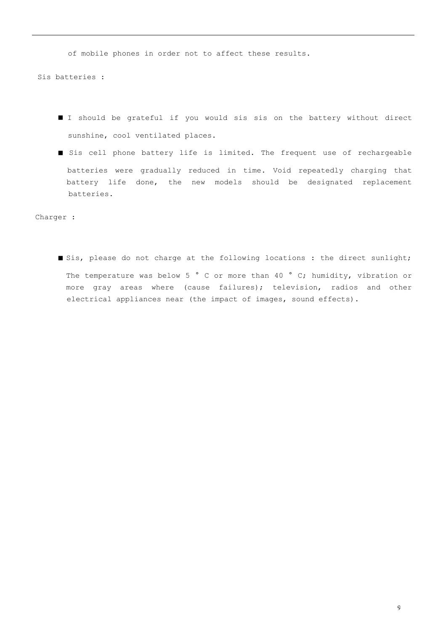of mobile phones in order not to affect these results.

Sis batteries :

- n I should be grateful if you would sis sis on the battery without direct sunshine, cool ventilated places.
- Sis cell phone battery life is limited. The frequent use of rechargeable batteries were gradually reduced in time. Void repeatedly charging that battery life done, the new models should be designated replacement batteries.

Charger :

■ Sis, please do not charge at the following locations : the direct sunlight; The temperature was below 5 ° C or more than 40 ° C; humidity, vibration or more gray areas where (cause failures); television, radios and other electrical appliances near (the impact of images, sound effects).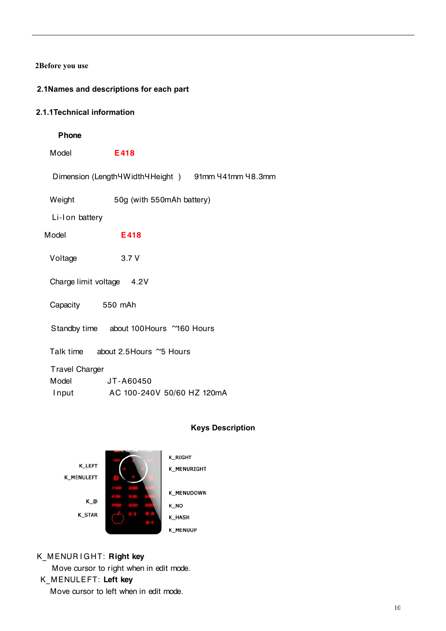# **2Before you use**

# **2.1Names and descriptions for each part**

# **2.1.1Technical information**

# Phone

Model **E418** 

Dimension (Length 4Width 4 Height ) 91mm 441mm 48.3mm

Weight 50g (with 550mAh battery)

Li-I on battery

Model **E418** 

Voltage 3.7 V

Charge limit voltage 4.2V

Capacity 550 mAh

Standby time about 100 Hours ~160 Hours

Talk time about 2.5 Hours ~5 Hours

Travel Charger

| Model | JT-A60450                  |  |
|-------|----------------------------|--|
| Input | AC 100-240V 50/60 HZ 120mA |  |

# **Keys Description**



# K\_MENURIGHT: Right key

Move cursor to right when in edit mode.

# K MENULEFT: Left key

Move cursor to left when in edit mode.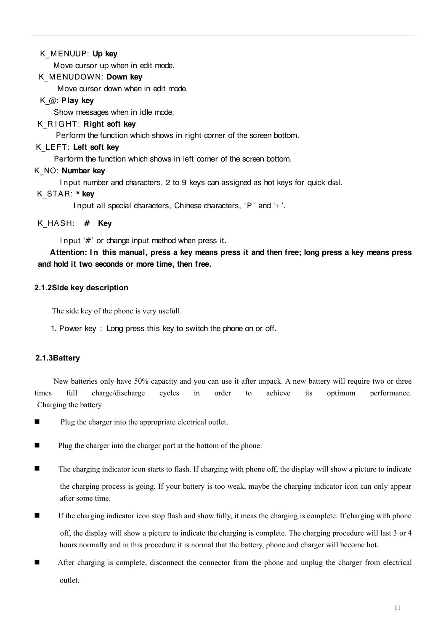# K MENUUP: Up key

Move cursor up when in edit mode.

# K MENUDOWN: Down key

Move cursor down when in edit mode.

# K  $@:$  Play key

Show messages when in idle mode.

# K\_R I GHT: Right soft key

Perform the function which shows in right corner of the screen bottom.

# K\_LEFT: Left soft key

Perform the function which shows in left corner of the screen bottom.

# K NO: Number key

I nput number and characters, 2 to 9 keys can assigned as hot keys for quick dial.

# K STAR: \* kev

I nput all special characters, Chinese characters,  $P'$  and  $H$ .

# K HASH:  $#$  Kev

I nput  $H'$  or change input method when press it.

Attention: In this manual, press a key means press it and then free; long press a key means press and hold it two seconds or more time, then free.

# **2.1.2Side key description**

The side key of the phone is very usefull.

1. Power key : Long press this key to switch the phone on or off.

# **2.1.3Battery**

New batteries only have 50% capacity and you can use it after unpack. A new battery will require two or three times full charge/discharge cycles in order to achieve its optimum performance. Charging the battery

- $\blacksquare$  Plug the charger into the appropriate electrical outlet.
- Plug the charger into the charger port at the bottom of the phone.
- $\blacksquare$  The charging indicator icon starts to flash. If charging with phone off, the display will show a picture to indicate the charging process is going. If your battery is too weak, maybe the charging indicator icon can only appear after some time.
- n If the charging indicator icon stop flash and show fully, it meas the charging is complete. If charging with phone off, the display will show a picture to indicate the charging is complete. The charging procedure will last 3 or 4 hours normally and in this procedure it is normal that the battery, phone and charger will become hot.
- n After charging is complete, disconnect the connector from the phone and unplug the charger from electrical outlet.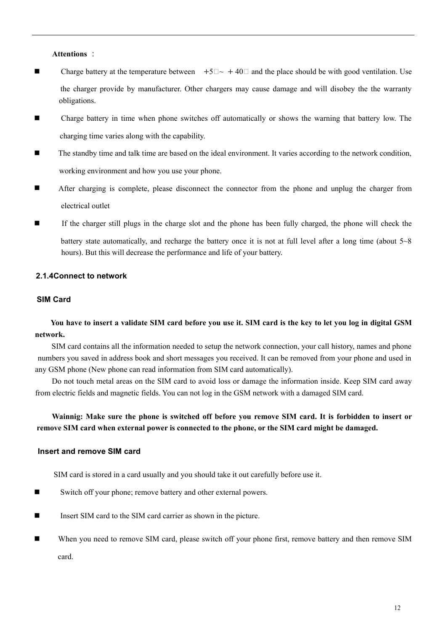#### **Attentions** :

- Charge battery at the temperature between  $+5\square \sim +40\square$  and the place should be with good ventilation. Use the charger provide by manufacturer. Other chargers may cause damage and will disobey the the warranty obligations.
- n Charge battery in time when phone switches off automatically or shows the warning that battery low. The charging time varies along with the capability.
- n The standby time and talk time are based on the ideal environment. It varies according to the network condition, working environment and how you use your phone.
- **n** After charging is complete, please disconnect the connector from the phone and unplug the charger from electrical outlet
- n If the charger still plugs in the charge slot and the phone has been fully charged, the phone will check the battery state automatically, and recharge the battery once it is not at full level after a long time (about 5~8 hours). But this will decrease the performance and life of your battery.

### **2.1.4Connect to network**

### **SIM Card**

You have to insert a validate SIM card before you use it. SIM card is the key to let you log in digital GSM **network.**

SIM card contains all the information needed to setup the network connection, your call history, names and phone numbers you saved in address book and short messages you received. It can be removed from your phone and used in any GSM phone (New phone can read information from SIM card automatically).

Do not touch metal areas on the SIM card to avoid loss or damage the information inside. Keep SIM card away from electric fields and magnetic fields. You can not log in the GSM network with a damaged SIM card.

# Wainnig: Make sure the phone is switched off before you remove SIM card. It is forbidden to insert or **remove SIM card when external power is connected to the phone, or the SIM card might be damaged.**

### **Insert and remove SIM card**

SIM card is stored in a card usually and you should take it out carefully before use it.

- Switch off your phone; remove battery and other external powers.
- Insert SIM card to the SIM card carrier as shown in the picture.
- **n** When you need to remove SIM card, please switch off your phone first, remove battery and then remove SIM card.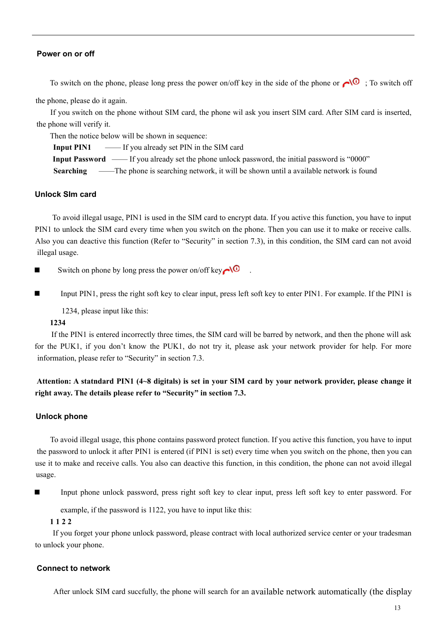#### **Power on or off**

To switch on the phone, please long press the power on/off key in the side of the phone or  $\bigcirc$   $\bigcirc$  ; To switch off

the phone, please do it again.

If you switch on the phone without SIM card, the phone wil ask you insert SIM card. After SIM card is inserted, the phone will verify it.

Then the notice below will be shown in sequence:

**Input PIN1** —— If you already set PIN in the SIM card

**Input Password** —— If you already set the phone unlock password, the initial password is "0000"

**Searching** ——The phone is searching network, it will be shown until a available network is found

### **Unlock SIm card**

To avoid illegal usage, PIN1 is used in the SIM card to encrypt data. If you active this function, you have to input PIN1 to unlock the SIM card every time when you switch on the phone. Then you can use it to make or receive calls. Also you can deactive this function (Refer to "Security" in section 7.3), in this condition, the SIM card can not avoid illegal usage.

Switch on phone by long press the power on/off key  $\sim 0$ 

■ Input PIN1, press the right soft key to clear input, press left soft key to enter PIN1. For example. If the PIN1 is

1234, please input like this:

### **1234**

If the PIN1 is entered incorrectly three times, the SIM card will be barred by network, and then the phone will ask for the PUK1, if you don't know the PUK1, do not try it, please ask your network provider for help. For more information, please refer to "Security" in section 7.3.

# Attention: A statndard PIN1 (4~8 digitals) is set in your SIM card by your network provider, please change it **right away. The details please refer to "Security" in section 7.3.**

### **Unlock phone**

To avoid illegal usage, this phone contains password protect function. If you active this function, you have to input the password to unlock it after PIN1 is entered (if PIN1 is set) every time when you switch on the phone, then you can use it to make and receive calls. You also can deactive this function, in this condition, the phone can not avoid illegal usage.

n Input phone unlock password, press right soft key to clear input, press left soft key to enter password. For

example, if the password is 1122, you have to input like this:

### **1 1 2 2**

If you forget your phone unlock password, please contract with local authorized service center or your tradesman to unlock your phone.

#### **Connect to network**

After unlock SIM card succfully, the phone will search for an available network automatically (the display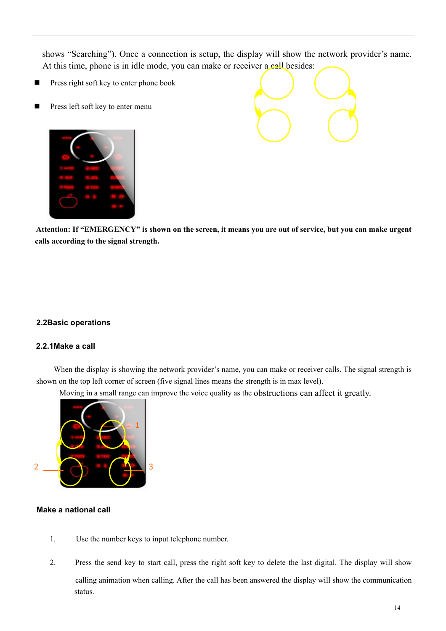shows "Searching"). Once a connection is setup, the display will show the network provider's name. At this time, phone is in idle mode, you can make or receiver a call besides:

- Press right soft key to enter phone book
- Press left soft key to enter menu





Attention: If "EMERGENCY" is shown on the screen, it means you are out of service, but you can make urgent **calls according to the signal strength.**

### **2.2Basic operations**

### **2.2.1Make a call**

When the display is showing the network provider's name, you can make or receiver calls. The signal strength is shown on the top left corner of screen (five signal lines means the strength is in max level).

Moving in a small range can improve the voice quality as the obstructions can affect it greatly.



### **Make a national call**

- 1. Use the number keys to input telephone number.
- 2. Press the send key to start call, press the right soft key to delete the last digital. The display will show calling animation when calling. After the call has been answered the display will show the communication status.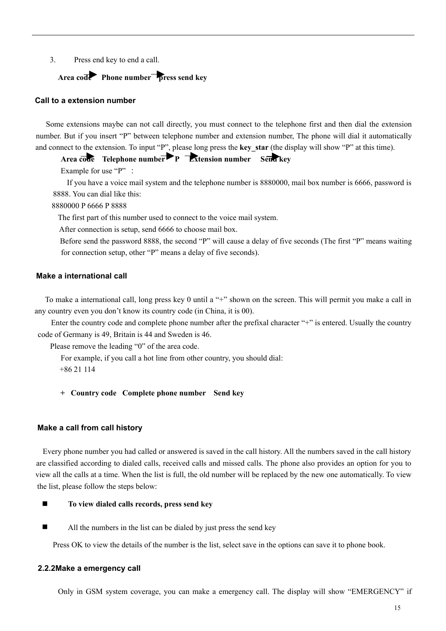3. Press end key to end a call.

# **Area code Phone number press send key**

#### **Call to a extension number**

Some extensions maybe can not call directly, you must connect to the telephone first and then dial the extension number. But if you insert "P" between telephone number and extension number, The phone will dial it automatically and connect to the extension. To input "P", please long press the **key** star (the display will show "P" at this time).

**Area code Telephone number P Extension number Send key**

Example for use "P" :

If you have a voice mail system and the telephone number is 8880000, mail box number is 6666, password is 8888. You can dial like this:

8880000 P 6666 P 8888

The first part of this number used to connect to the voice mail system.

After connection is setup, send 6666 to choose mail box.

Before send the password 8888, the second "P" will cause a delay of five seconds (The first "P" means waiting for connection setup, other "P" means a delay of five seconds).

### **Make a international call**

To make a international call, long press key 0 until a "+" shown on the screen. This will permit you make a call in any country even you don't know its country code (in China, it is 00).

Enter the country code and complete phone number after the prefixal character "+" is entered. Usually the country code of Germany is 49, Britain is 44 and Sweden is 46.

Please remove the leading "0" of the area code.

For example, if you call a hot line from other country, you should dial:

+86 21 114

**+ Country code Complete phone number Send key**

#### **Make a call from call history**

Every phone number you had called or answered is saved in the call history. All the numbers saved in the call history are classified according to dialed calls, received calls and missed calls. The phone also provides an option for you to view all the calls at a time. When the list is full, the old number will be replaced by the new one automatically. To view the list, please follow the steps below:

- n **To view dialed calls records, press send key**
- All the numbers in the list can be dialed by just press the send key

Press OK to view the details of the number is the list, select save in the options can save it to phone book.

#### **2.2.2Make a emergency call**

Only in GSM system coverage, you can make a emergency call. The display will show "EMERGENCY" if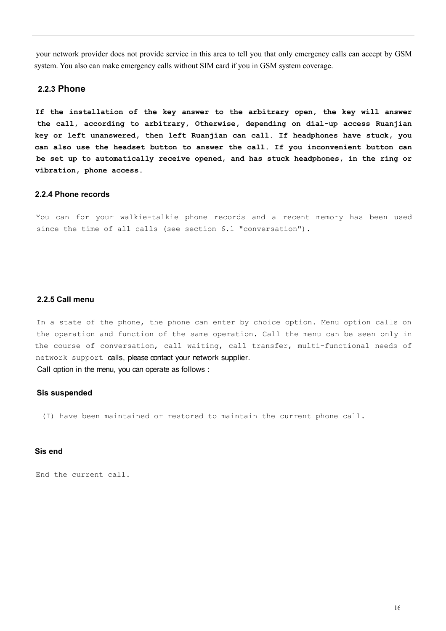your network provider does not provide service in this area to tell you that only emergency calls can accept by GSM system. You also can make emergency calls without SIM card if you in GSM system coverage.

#### **2.2.3 Phone**

**If the installation of the key answer to the arbitrary open, the key will answer the call, according to arbitrary, Otherwise, depending on dial-up access Ruanjian key or left unanswered, then left Ruanjian can call. If headphones have stuck, you can also use the headset button to answer the call. If you inconvenient button can be set up to automatically receive opened, and has stuck headphones, in the ring or vibration, phone access.**

#### **2.2.4 Phone records**

You can for your walkie-talkie phone records and a recent memory has been used since the time of all calls (see section 6.1 "conversation").

#### **2.2.5 Call menu**

In a state of the phone, the phone can enter by choice option. Menu option calls on the operation and function of the same operation. Call the menu can be seen only in the course of conversation, call waiting, call transfer, multi-functional needs of network support calls, please contact your network supplier. Call option in the menu, you can operate as follows :

#### **Sis suspended**

(I) have been maintained or restored to maintain the current phone call.

#### **Sis end**

End the current call.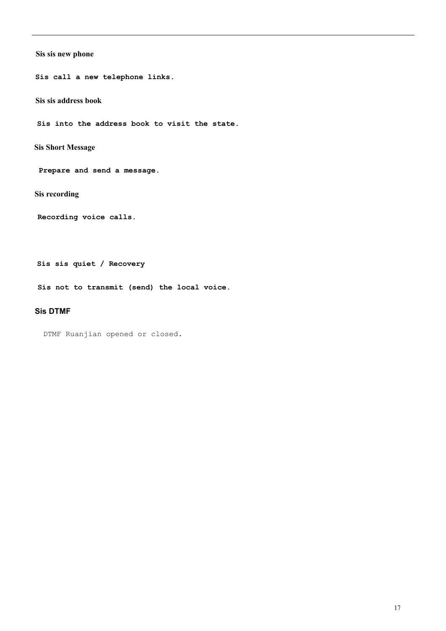### **Sis sis new phone**

**Sis call a new telephone links.**

**Sis sis address book**

**Sis into the address book to visit the state.** 

**Sis Short Message**

 **Prepare and send a message.**

**Sis recording** 

**Recording voice calls.** 

**Sis sis quiet / Recovery** 

**Sis not to transmit (send) the local voice.** 

### **Sis DTMF**

DTMF Ruanjian opened or closed.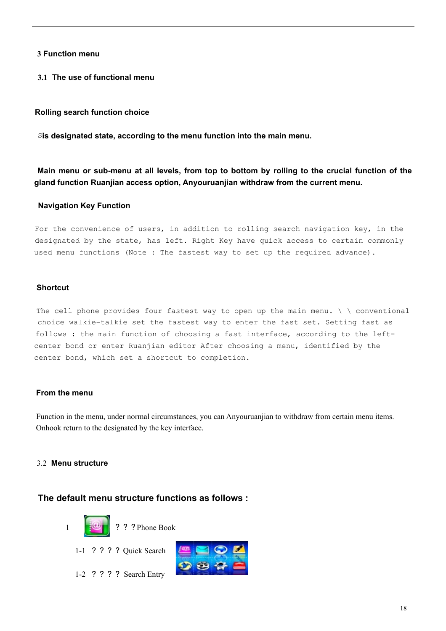# **3 Function menu**

**3.1 The use of functional menu**

### **Rolling search function choice**

S**is designated state, according to the menu function into the main menu.**

Main menu or sub-menu at all levels, from top to bottom by rolling to the crucial function of the **gland function Ruanjian access option, Anyouruanjian withdraw from the current menu.**

#### **Navigation Key Function**

For the convenience of users, in addition to rolling search navigation key, in the designated by the state, has left. Right Key have quick access to certain commonly used menu functions (Note : The fastest way to set up the required advance).

#### **Shortcut**

The cell phone provides four fastest way to open up the main menu.  $\setminus \setminus$  conventional choice walkie-talkie set the fastest way to enter the fast set. Setting fast as follows : the main function of choosing a fast interface, according to the leftcenter bond or enter Ruanjian editor After choosing a menu, identified by the center bond, which set a shortcut to completion.

#### **From the menu**

Function in the menu, under normal circumstances, you can Anyouruanjian to withdraw from certain menu items. Onhook return to the designated by the key interface.

### 3.2 **Menu structure**

# **The default menu structure functions as follows :**



1-2 ? ? ? ? Search Entry

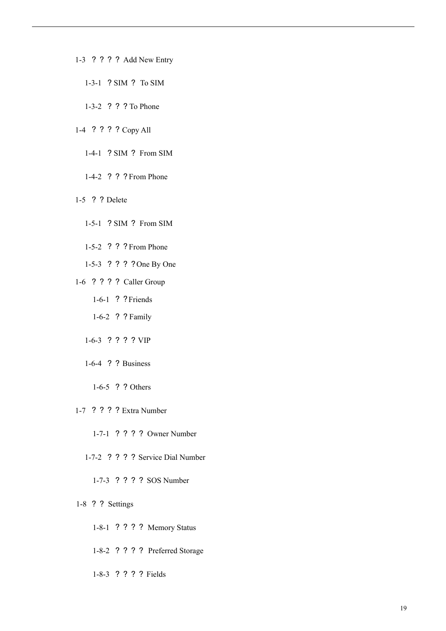- 1-3 ? ? ? ? Add New Entry
	- 1-3-1 ? SIM ? To SIM
	- 1-3-2 ? ? ? To Phone
- 1-4 ? ? ? ? Copy All
	- 1-4-1 ? SIM ? From SIM
	- 1-4-2 ? ? ? From Phone
- 1-5 ? ? Delete
	- 1-5-1 ? SIM ? From SIM
	- 1-5-2 ? ? ? From Phone
	- 1-5-3 ? ? ? ? One By One
- 1-6 ? ? ? ? Caller Group
	- 1-6-1 ? ?Friends
	- 1-6-2 ? ? Family
	- 1-6-3 ? ? ? ? VIP
	- 1-6-4 ? ? Business
		- 1-6-5 ? ? Others
- 1-7 ? ? ? ? Extra Number
	- 1-7-1 ? ? ? ? Owner Number
	- 1-7-2 ? ? ? ? Service Dial Number
		- 1-7-3 ? ? ? ? SOS Number
- 1-8 ? ? Settings
	- 1-8-1 ? ? ? ? Memory Status
	- 1-8-2 ? ? ? ? Preferred Storage
	- 1-8-3 ? ? ? ? Fields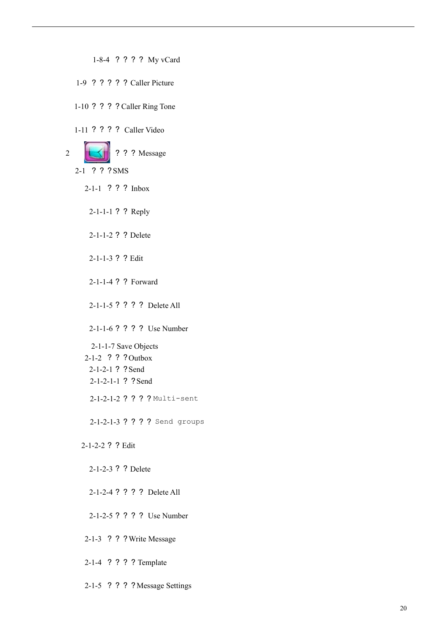1-8-4 ? ? ? ? My vCard 1-9 ? ? ? ? ? Caller Picture 1-10 ? ? ? ? Caller Ring Tone 1-11 ? ? ? ? Caller Video 2 **COLLECTER** ? ? ? Message 2-1 ? ? ?SMS 2-1-1 ? ? ? Inbox 2-1-1-1 ? ? Reply 2-1-1-2 ? ? Delete 2-1-1-3 ? ? Edit 2-1-1-4 ? ? Forward 2-1-1-5 ? ? ? ? Delete All 2-1-1-6 ? ? ? ? Use Number 2-1-1-7 Save Objects 2-1-2 ? ? ?Outbox 2-1-2-1 ? ?Send 2-1-2-1-1 ? ? Send 2-1-2-1-2 ? ? ? ? Multi-sent 2-1-2-1-3 ? ? ? ? Send groups 2-1-2-2 ? ? Edit 2-1-2-3 ? ? Delete 2-1-2-4 ? ? ? ? Delete All 2-1-2-5 ? ? ? ? Use Number 2-1-3 ? ? ?Write Message

2-1-4 ? ? ? ? Template

2-1-5 ? ? ? ? Message Settings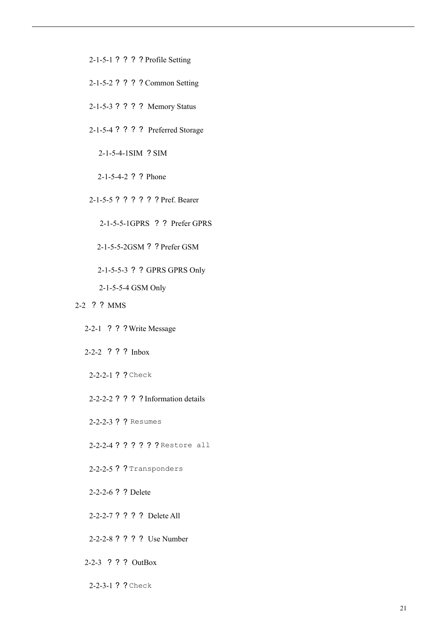- 2-1-5-1 ? ? ? ? Profile Setting
- 2-1-5-2 ? ? ? ? Common Setting
- 2-1-5-3 ? ? ? ? Memory Status
- 2-1-5-4 ? ? ? ? Preferred Storage

2-1-5-4-1SIM ? SIM

2-1-5-4-2 ? ? Phone

2-1-5-5 ? ? ? ? ? ? Pref. Bearer

2-1-5-5-1GPRS ? ? Prefer GPRS

2-1-5-5-2GSM ? ? Prefer GSM

2-1-5-5-3 ? ? GPRS GPRS Only

2-1-5-5-4 GSM Only

- 2-2 ? ? MMS
	- 2-2-1 ? ? ?Write Message
	- 2-2-2 ? ? ? Inbox
	- 2-2-2-1 ? ? Check
	- 2-2-2-2 ? ? ? ? Information details
	- 2-2-2-3 ? ? Resumes

2-2-2-4 ? ? ? ? ? ? Restore all

2-2-2-5 ? ? Transponders

2-2-2-6 ? ? Delete

2-2-2-7 ? ? ? ? Delete All

- 2-2-2-8 ? ? ? ? Use Number
- 2-2-3 ? ? ? OutBox
- 2-2-3-1 ? ? Check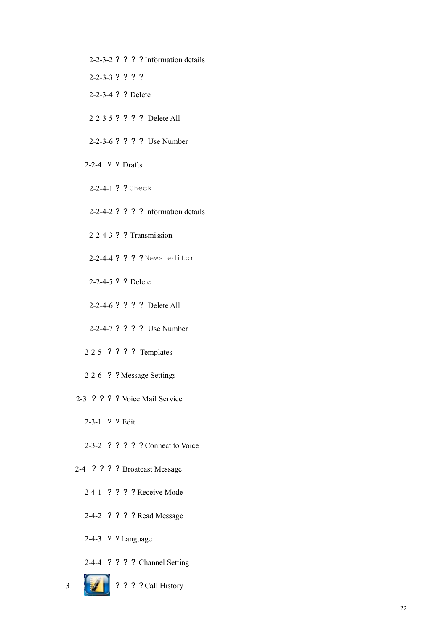- 2-2-3-2 ? ? ? ? Information details
- 2-2-3-3 ? ? ? ?
- 2-2-3-4 ? ? Delete
- 2-2-3-5 ? ? ? ? Delete All
- 2-2-3-6 ? ? ? ? Use Number
- 2-2-4 ? ? Drafts
- 2-2-4-1 ? ? Check
- 2-2-4-2 ? ? ? ? Information details
- 2-2-4-3 ? ? Transmission
- 2-2-4-4 ? ? ? ? News editor
- 2-2-4-5 ? ? Delete
- 2-2-4-6 ? ? ? ? Delete All
- 2-2-4-7 ? ? ? ? Use Number
- 2-2-5 ? ? ? ? Templates
- 2-2-6 ? ? Message Settings
- 2-3 ? ? ? ? Voice Mail Service
	- 2-3-1 ? ? Edit
	- 2-3-2 ? ? ? ? ? Connect to Voice
- 2-4 ? ? ? ? Broatcast Message
	- 2-4-1 ? ? ? ? Receive Mode
	- 2-4-2 ? ? ? ? Read Message
	- 2-4-3 ? ? Language
	- 2-4-4 ? ? ? ? Channel Setting
- 3 ? ? ? ? Call History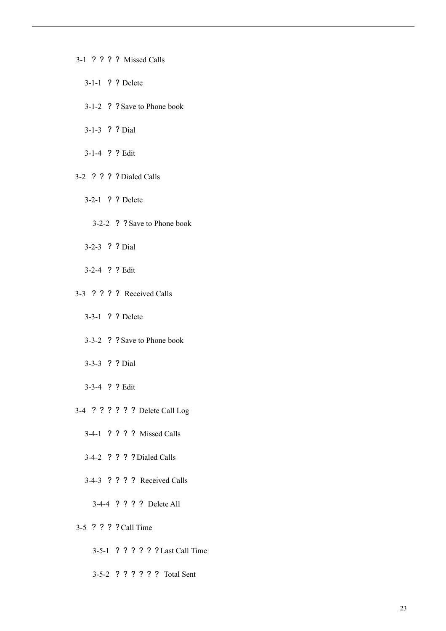- 3-1 ? ? ? ? Missed Calls
	- 3-1-1 ? ? Delete
	- 3-1-2 ? ? Save to Phone book
	- 3-1-3 ? ? Dial
	- 3-1-4 ? ? Edit
- 3-2 ? ? ? ? Dialed Calls
	- 3-2-1 ? ? Delete
		- 3-2-2 ? ? Save to Phone book
	- 3-2-3 ? ? Dial
	- 3-2-4 ? ? Edit
- 3-3 ? ? ? ? Received Calls
	- 3-3-1 ? ? Delete
	- 3-3-2 ? ? Save to Phone book
	- 3-3-3 ? ? Dial
	- 3-3-4 ? ? Edit
- 3-4 ? ? ? ? ? ? Delete Call Log
	- 3-4-1 ? ? ? ? Missed Calls
	- 3-4-2 ? ? ? ? Dialed Calls
	- 3-4-3 ? ? ? ? Received Calls
		- 3-4-4 ? ? ? ? Delete All
- 3-5 ? ? ? ?Call Time
	- 3-5-1 ? ? ? ? ? ? Last Call Time
	- 3-5-2 ? ? ? ? ? ? Total Sent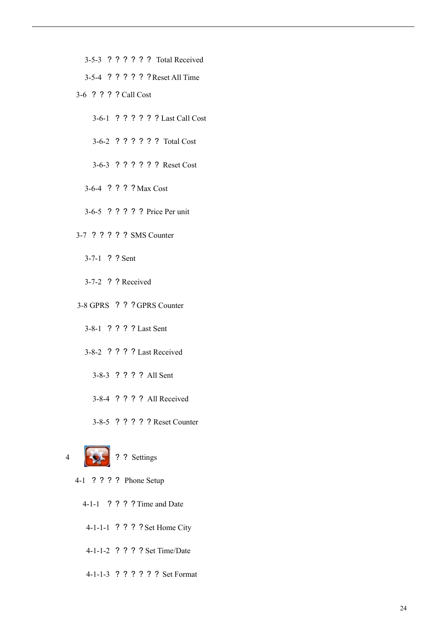- 3-5-3 ? ? ? ? ? ? Total Received
- 3-5-4 ? ? ? ? ? ? Reset All Time
- 3-6 ? ? ? ? Call Cost
	- 3-6-1 ? ? ? ? ? ? Last Call Cost
	- 3-6-2 ? ? ? ? ? ? Total Cost
	- 3-6-3 ? ? ? ? ? ? Reset Cost
	- 3-6-4 ? ? ? ? Max Cost
	- 3-6-5 ? ? ? ? ? Price Per unit
- 3-7 ? ? ? ? ? SMS Counter
	- 3-7-1 ? ? Sent
	- 3-7-2 ? ? Received
- 3-8 GPRS ? ? ? GPRS Counter
	- 3-8-1 ? ? ? ? Last Sent
	- 3-8-2 ? ? ? ? Last Received
		- 3-8-3 ? ? ? ? All Sent
		- 3-8-4 ? ? ? ? All Received
		- 3-8-5 ? ? ? ? ? Reset Counter



- 4-1 ? ? ? ? Phone Setup
	- 4-1-1 ? ? ? ? Time and Date
	- 4-1-1-1 ? ? ? ? Set Home City
	- 4-1-1-2 ? ? ? ? Set Time/Date
	- 4-1-1-3 ? ? ? ? ? ? Set Format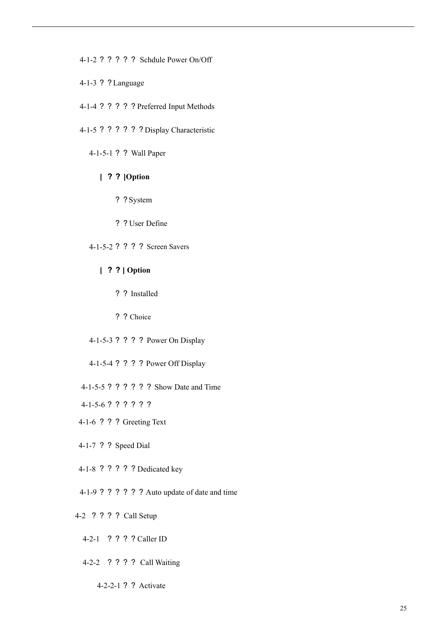4-1-2 ? ? ? ? ? Schdule Power On/Off

- 4-1-3 ? ? Language
- 4-1-4 ? ? ? ? ? Preferred Input Methods
- 4-1-5 ? ? ? ? ? ? Display Characteristic

4-1-5-1 ? ? Wall Paper

# **[** ? ? **]Option**

- ? ? System
- ? ? User Define
- 4-1-5-2 ? ? ? ? Screen Savers
	- **[** ? ? **] Option**
		- ? ? Installed
		- ? ? Choice
- 4-1-5-3 ? ? ? ? Power On Display
- 4-1-5-4 ? ? ? ? Power Off Display
- 4-1-5-5 ? ? ? ? ? ? Show Date and Time
- 4-1-5-6 ? ? ? ? ? ?
- 4-1-6 ? ? ? Greeting Text
- 4-1-7 ? ? Speed Dial
- 4-1-8 ? ? ? ? ? Dedicated key
- 4-1-9 ? ? ? ? ? ? Auto update of date and time
- 4-2 ? ? ? ? Call Setup
	- 4-2-1 ? ? ? ? Caller ID
	- 4-2-2 ? ? ? ? Call Waiting
		- 4-2-2-1 ? ? Activate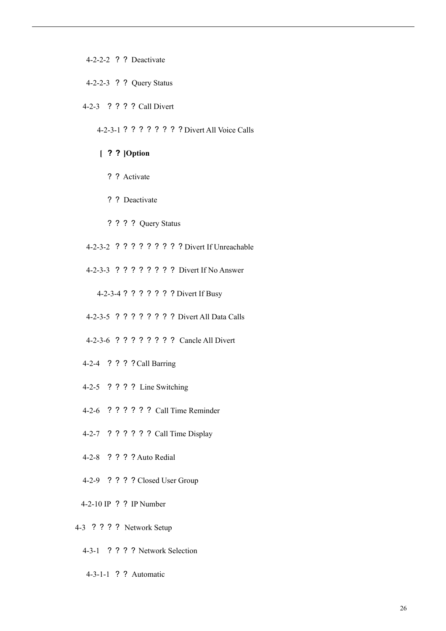4-2-2-2 ? ? Deactivate

- 4-2-2-3 ? ? Query Status
- 4-2-3 ? ? ? ? Call Divert

4-2-3-1 ? ? ? ? ? ? ? ? Divert All Voice Calls

# **[** ? ? **]Option**

- ? ? Activate
- ? ? Deactivate
- ? ? ? ? Query Status
- 4-2-3-2 ? ? ? ? ? ? ? ? ? Divert If Unreachable
- 4-2-3-3 ? ? ? ? ? ? ? ? Divert If No Answer

4-2-3-4 ? ? ? ? ? ? ? Divert If Busy

- 4-2-3-5 ? ? ? ? ? ? ? ? Divert All Data Calls
- 4-2-3-6 ? ? ? ? ? ? ? ? Cancle All Divert
- 4-2-4 ? ? ? ?Call Barring
- 4-2-5 ? ? ? ? Line Switching
- 4-2-6 ? ? ? ? ? ? Call Time Reminder
- 4-2-7 ? ? ? ? ? ? Call Time Display
- 4-2-8 ? ? ? ? Auto Redial
- 4-2-9 ? ? ? ? Closed User Group
- 4-2-10 IP ? ? IP Number
- 4-3 ? ? ? ? Network Setup
	- 4-3-1 ? ? ? ? Network Selection
	- 4-3-1-1 ? ? Automatic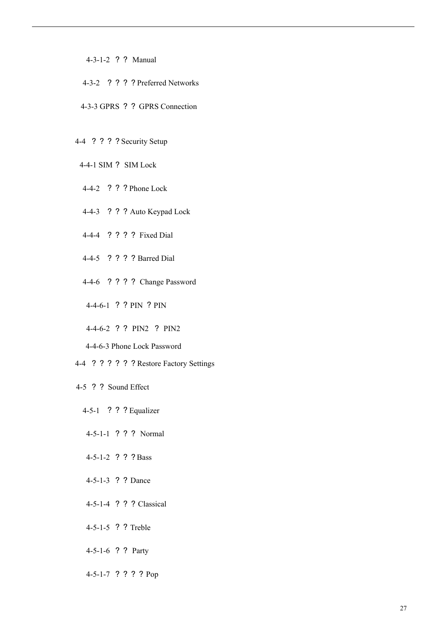- 4-3-1-2 ? ? Manual
- 4-3-2 ? ? ? ? Preferred Networks
- 4-3-3 GPRS ? ? GPRS Connection
- 4-4 ? ? ? ? Security Setup
- 4-4-1 SIM ? SIM Lock
- 4-4-2 ? ? ? Phone Lock
- 4-4-3 ? ? ? Auto Keypad Lock
- 4-4-4 ? ? ? ? Fixed Dial
- 4-4-5 ? ? ? ? Barred Dial
- 4-4-6 ? ? ? ? Change Password
- 4-4-6-1 ? ? PIN ? PIN
- 4-4-6-2 ? ? PIN2 ? PIN2
- 4-4-6-3 Phone Lock Password
- 4-4 ? ? ? ? ? ? Restore Factory Settings
- 4-5 ? ? Sound Effect
	- 4-5-1 ? ? ? Equalizer
	- 4-5-1-1 ? ? ? Normal
	- 4-5-1-2 ? ? ? Bass
	- 4-5-1-3 ? ? Dance
	- 4-5-1-4 ? ? ? Classical
	- 4-5-1-5 ? ? Treble
	- 4-5-1-6 ? ? Party
	- 4-5-1-7 ? ? ? ? Pop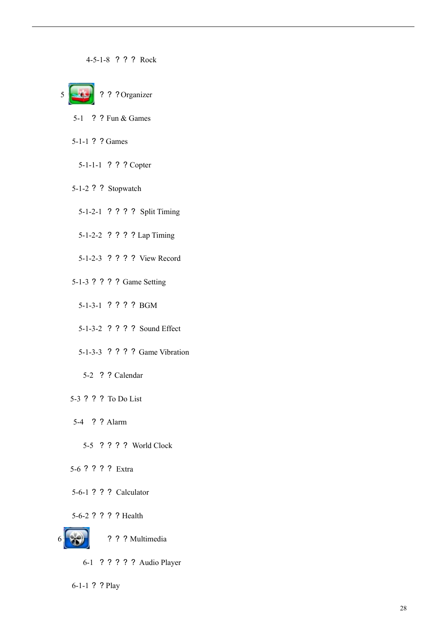4-5-1-8 ? ? ? Rock



- 5-1 ? ? Fun & Games
- 5-1-1 ? ? Games
	- 5-1-1-1 ? ? ? Copter
- 5-1-2 ? ? Stopwatch
	- 5-1-2-1 ? ? ? ? Split Timing
	- 5-1-2-2 ? ? ? ? Lap Timing
	- 5-1-2-3 ? ? ? ? View Record
- 5-1-3 ? ? ? ? Game Setting
	- 5-1-3-1 ? ? ? ? BGM
	- 5-1-3-2 ? ? ? ? Sound Effect
	- 5-1-3-3 ? ? ? ? Game Vibration
		- 5-2 ? ? Calendar
- 5-3 ? ? ? To Do List
- 5-4 ? ? Alarm
	- 5-5 ? ? ? ? World Clock
- 5-6 ? ? ? ? Extra
- 5-6-1 ? ? ? Calculator
- 5-6-2 ? ? ? ? Health



- ? ? ? Multimedia
- 6-1 ? ? ? ? ? Audio Player

6-1-1 ? ? Play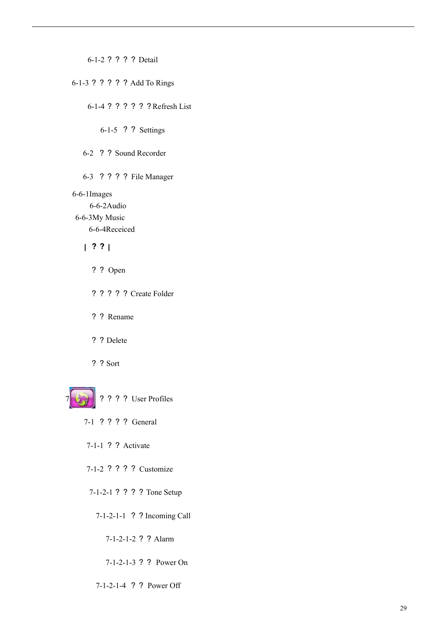6-1-2 ? ? ? ? Detail

6-1-3 ? ? ? ? ? Add To Rings

6-1-4 ? ? ? ? ? ? Refresh List

6-1-5 ? ? Settings

6-2 ? ? Sound Recorder

6-3 ? ? ? ? File Manager

6-6-1Images

6-6-2Audio

6-6-3My Music 6-6-4Receiced

**[** ? ? **]**

- ? ? Open
- ? ? ? ? ? Create Folder
- ? ? Rename
- ? ? Delete

? ? Sort



7 ? ? ? ? User Profiles

- 7-1 ? ? ? ? General
- 7-1-1 ? ? Activate

7-1-2 ? ? ? ? Customize

7-1-2-1 ? ? ? ? Tone Setup

7-1-2-1-1 ? ? Incoming Call

7-1-2-1-2 ? ? Alarm

7-1-2-1-3 ? ? Power On

7-1-2-1-4 ? ? Power Off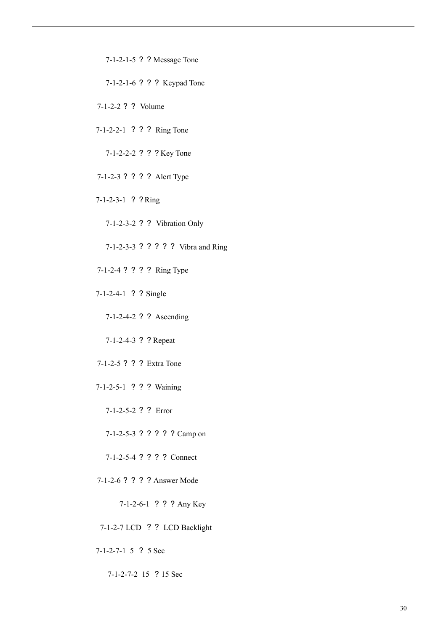7-1-2-1-5 ? ? Message Tone

7-1-2-1-6 ? ? ? Keypad Tone

7-1-2-2 ? ? Volume

7-1-2-2-1 ? ? ? Ring Tone

7-1-2-2-2 ? ? ? Key Tone

7-1-2-3 ? ? ? ? Alert Type

7-1-2-3-1 ? ?Ring

7-1-2-3-2 ? ? Vibration Only

7-1-2-3-3 ? ? ? ? ? Vibra and Ring

- 7-1-2-4 ? ? ? ? Ring Type
- 7-1-2-4-1 ? ? Single

7-1-2-4-2 ? ? Ascending

7-1-2-4-3 ? ? Repeat

7-1-2-5 ? ? ? Extra Tone

7-1-2-5-1 ? ? ? Waining

7-1-2-5-2 ? ? Error

7-1-2-5-3 ? ? ? ? ? Camp on

7-1-2-5-4 ? ? ? ? Connect

7-1-2-6 ? ? ? ? Answer Mode

7-1-2-6-1 ? ? ? Any Key

7-1-2-7 LCD ? ? LCD Backlight

7-1-2-7-1 5 ? 5 Sec

7-1-2-7-2 15 ? 15 Sec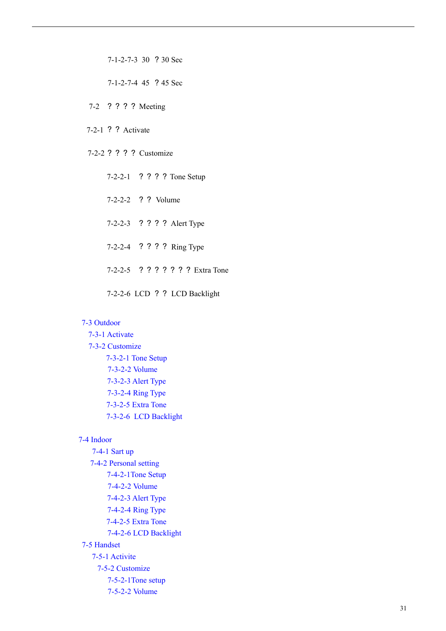7-1-2-7-3 30 ? 30 Sec

7-1-2-7-4 45 ? 45 Sec

7-2 ? ? ? ? Meeting

7-2-1 ? ? Activate

7-2-2 ? ? ? ? Customize

7-2-2-1 ? ? ? ? Tone Setup 7-2-2-2 ? ? Volume 7-2-2-3 ? ? ? ? Alert Type 7-2-2-4 ? ? ? ? Ring Type 7-2-2-5 ? ? ? ? ? ? ? Extra Tone 7-2-2-6 LCD ? ? LCD Backlight

### 7-3 Outdoor

7-3-1 Activate 7-3-2 Customize 7-3-2-1 Tone Setup 7-3-2-2 Volume 7-3-2-3 Alert Type 7-3-2-4 Ring Type 7-3-2-5 Extra Tone 7-3-2-6 LCD Backlight

### 7-4 Indoor

7-4-1 Sart up 7-4-2 Personal setting 7-4-2-1Tone Setup 7-4-2-2 Volume 7-4-2-3 Alert Type 7-4-2-4 Ring Type 7-4-2-5 Extra Tone 7-4-2-6 LCD Backlight 7-5 Handset 7-5-1 Activite 7-5-2 Customize 7-5-2-1Tone setup 7-5-2-2 Volume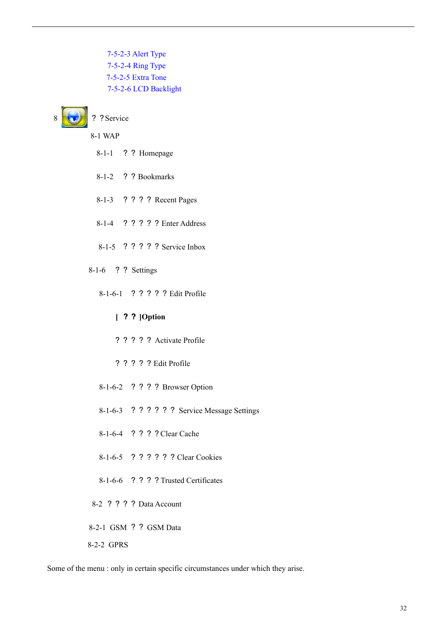7-5-2-3 Alert Type 7-5-2-4 Ring Type 7-5-2-5 Extra Tone 7-5-2-6 LCD Backlight



? ? Service

8-1 WAP

- 8-1-1 ? ? Homepage
- 8-1-2 ? ? Bookmarks
- 8-1-3 ? ? ? ? Recent Pages
- 8-1-4 ? ? ? ? ? Enter Address
- 8-1-5 ? ? ? ? ? Service Inbox
- 8-1-6 ? ? Settings
	- 8-1-6-1 ? ? ? ? ? Edit Profile
		- **[** ? ? **]Option**
		- ? ? ? ? ? Activate Profile
		- ? ? ? ? ? Edit Profile
	- 8-1-6-2 ? ? ? ? Browser Option
	- 8-1-6-3 ? ? ? ? ? ? Service Message Settings
	- 8-1-6-4 ? ? ? ? Clear Cache
	- 8-1-6-5 ? ? ? ? ? ? Clear Cookies
	- 8-1-6-6 ? ? ? ? Trusted Certificates
- 8-2 ? ? ? ? Data Account
- 8-2-1 GSM ? ? GSM Data
- 8-2-2 GPRS

Some of the menu : only in certain specific circumstances under which they arise.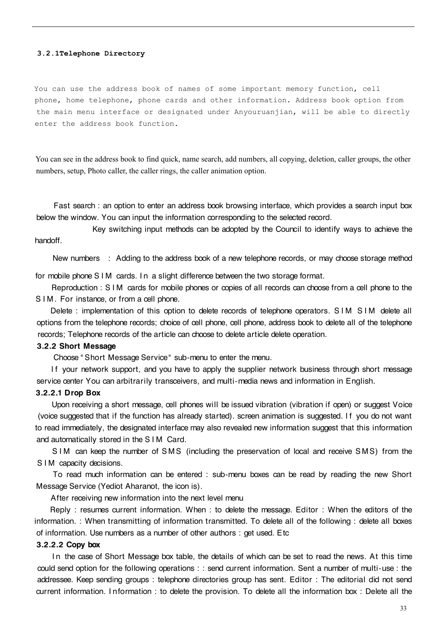#### **3.2.1Telephone Directory**

You can use the address book of names of some important memory function, cell phone, home telephone, phone cards and other information. Address book option from the main menu interface or designated under Anyouruanjian, will be able to directly enter the address book function.

You can see in the address book to find quick, name search, add numbers, all copying, deletion, caller groups, the other numbers, setup, Photo caller, the caller rings, the caller animation option.

Fast search : an option to enter an address book browsing interface, which provides a search input box below the window. You can input the information corresponding to the selected record.

Key switching input methods can be adopted by the Council to identify ways to achieve the handoff.

New numbers : Adding to the address book of a new telephone records, or may choose storage method

for mobile phone S I M cards. I n a slight difference between the two storage format.

Reproduction : S I M cards for mobile phones or copies of all records can choose from a cell phone to the S I M. For instance, or from a cell phone.

Delete : implementation of this option to delete records of telephone operators. S IM S IM delete all options from the telephone records; choice of cell phone, cell phone, address book to delete all of the telephone records; Telephone records of the article can choose to delete article delete operation.

#### 3.2.2 Short Message

Choose " Short Message Service" sub-menu to enter the menu.

If your network support, and you have to apply the supplier network business through short message service center You can arbitrarily transceivers, and multi-media news and information in English.

# 3.2.2.1 Drop Box

Upon receiving a short message, cell phones will be issued vibration (vibration if open) or suggest Voice (voice suggested that if the function has already started). screen animation is suggested. I f you do not want to read immediately, the designated interface may also revealed new information suggest that this information and automatically stored in the S I M Card.

S IM can keep the number of SMS (including the preservation of local and receive SMS) from the S I M capacity decisions.

To read much information can be entered : sub-menu boxes can be read by reading the new Short Message Service (Yediot Aharanot, the icon is).

After receiving new information into the next level menu

Reply : resumes current information. When : to delete the message. Editor : When the editors of the information. : When transmitting of information transmitted. To delete all of the following : delete all boxes of information. Use numbers as a number of other authors : get used. Etc

### 3.2.2.2 Copy box

In the case of Short Message box table, the details of which can be set to read the news. At this time could send option for the following operations : : send current information. Sent a number of multi-use : the addressee. Keep sending groups : telephone directories group has sent. Editor : The editorial did not send current information. I nformation : to delete the provision. To delete all the information box : Delete all the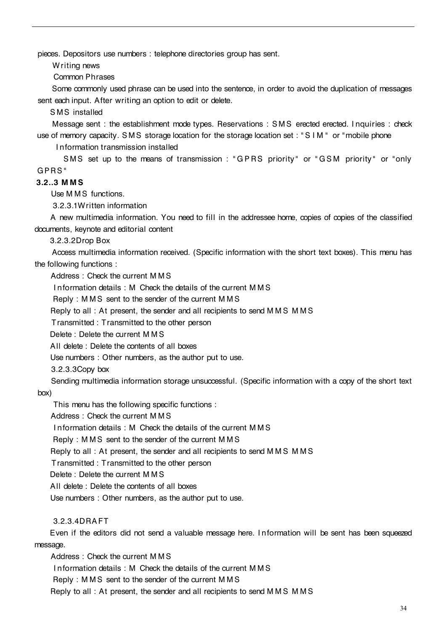pieces. Depositors use numbers : telephone directories group has sent.

Writing news

Common Phrases

Some commonly used phrase can be used into the sentence, in order to avoid the duplication of messages sent each input. After writing an option to edit or delete.

SMS installed

Message sent : the establishment mode types. Reservations : S M S erected erected. I nquiries : check use of memory capacity. SMS storage location for the storage location set : "SIM" or "mobile phone

I nformation transmission installed

SMS set up to the means of transmission : "GPRS priority" or "GSM priority" or "only G PRS "

# 3.2..3 M MS

Use M M S functions.

3.2.3.1Written information

A new multimedia information. You need to fill in the addressee home, copies of copies of the classified documents, keynote and editorial content

3.2.3.2Drop Box

Access multimedia information received. (Specific information with the short text boxes). This menu has the following functions :

Address : Check the current M M S

I nformation details : M Check the details of the current M M S

Reply : M M S sent to the sender of the current M M S

Reply to all : At present, the sender and all recipients to send M M S M M S

Transmitted : Transmitted to the other person

Delete : Delete the current M M S

All delete : Delete the contents of all boxes

Use numbers : Other numbers, as the author put to use.

3.2.3.3Copy box

Sending multimedia information storage unsuccessful. (Specific information with a copy of the short text box)

This menu has the following specific functions :

Address : Check the current M M S

I nformation details : M Check the details of the current M M S

Reply : M M S sent to the sender of the current M M S

Reply to all : At present, the sender and all recipients to send MMS MMS

Transmitted : Transmitted to the other person

Delete : Delete the current M M S

All delete : Delete the contents of all boxes

Use numbers : Other numbers, as the author put to use.

# 3.2.3.4DRAFT

Even if the editors did not send a valuable message here. I n formation will be sent has been squeezed message.

Address : Check the current M M S I nformation details : M Check the details of the current M M S Reply : M M S sent to the sender of the current M M S Reply to all : At present, the sender and all recipients to send M M S M M S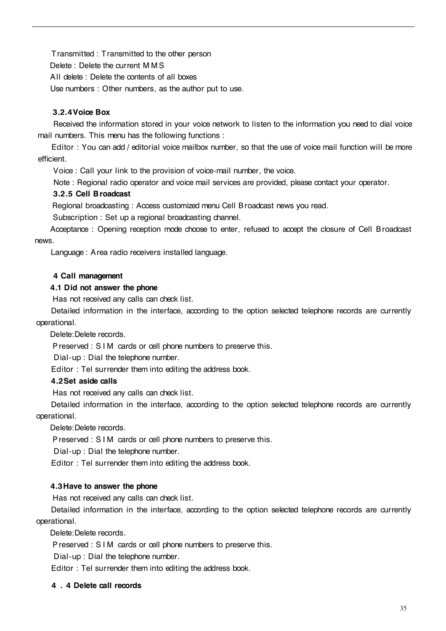Transmitted : Transmitted to the other person Delete : Delete the current M M S All delete : Delete the contents of all boxes Use numbers : Other numbers, as the author put to use.

# 3.2.4Voice Box

Received the information stored in your voice network to listen to the information you need to dial voice mail numbers. This menu has the following functions :

Editor : You can add / editorial voice mailbox number, so that the use of voice mail function will be more efficient.

Voice : Call your link to the provision of voice-mail number, the voice.

Note : Regional radio operator and voice mail services are provided, please contact your operator.

# 3.2.5 Cell Broadcast

Regional broadcasting : Access customized menu Cell Broadcast news you read.

Subscription : Set up a regional broadcasting channel.

Acceptance : Opening reception mode choose to enter, refused to accept the closure of Cell Broadcast news.

Language : Area radio receivers installed language.

# 4 Call management

# 4.1 Did not answer the phone

Has not received any calls can check list.

Detailed information in the interface, according to the option selected telephone records are currently operational.

Delete:Delete records.

Preserved : S I M cards or cell phone numbers to preserve this.

Dial-up : Dial the telephone number.

Editor : Tel surrender them into editing the address book.

# 4.2Set aside calls

Has not received any calls can check list.

Detailed information in the interface, according to the option selected telephone records are currently operational.

Delete:Delete records.

Preserved : S I M cards or cell phone numbers to preserve this.

Dial-up : Dial the telephone number.

Editor : Tel surrender them into editing the address book.

# 4.3Have to answer the phone

Has not received any calls can check list.

Detailed information in the interface, according to the option selected telephone records are currently operational.

Delete:Delete records.

Preserved : S I M cards or cell phone numbers to preserve this.

Dial-up : Dial the telephone number.

Editor : Tel surrender them into editing the address book.

### 4 . 4 Delete call records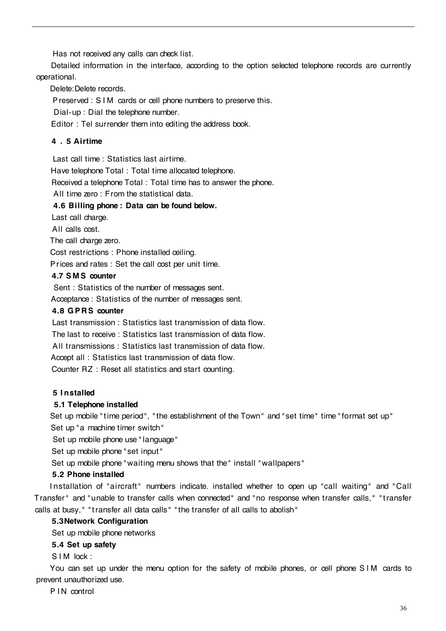Has not received any calls can check list.

Detailed information in the interface, according to the option selected telephone records are currently operational.

Delete:Delete records.

Preserved : S I M cards or cell phone numbers to preserve this.

Dial-up : Dial the telephone number.

Editor : Tel surrender them into editing the address book.

# 4 . 5 Airtime

Last call time : Statistics last airtime.

Have telephone Total : Total time allocated telephone.

Received a telephone Total : Total time has to answer the phone.

All time zero : From the statistical data.

# 4.6 Billing phone : Data can be found below.

Last call charge.

All calls cost.

The call charge zero.

Cost restrictions : Phone installed ceiling.

Prices and rates : Set the call cost per unit time.

# 4.7 S MS counter

Sent : Statistics of the number of messages sent. Acceptance : Statistics of the number of messages sent.

# 4.8 G PRS counter

Last transmission : Statistics last transmission of data flow. The last to receive : Statistics last transmission of data flow. All transmissions : Statistics last transmission of data flow. Accept all : Statistics last transmission of data flow. Counter RZ : Reset all statistics and start counting.

# 5 I nstalled

# 5.1 Telephone installed

Set up mobile " time period", " the establishment of the Town " and " set time" time " format set up" Set up "a machine timer switch"

Set up mobile phone use " language"

Set up mobile phone " set input "

Set up mobile phone " waiting menu shows that the" install " wallpapers "

# 5.2 Phone installed

Installation of "aircraft" numbers indicate. installed whether to open up "call waiting" and "Call Transfer" and "unable to transfer calls when connected" and " no response when transfer calls, " " transfer calls at busy, " " transfer all data calls " " the transfer of all calls to abolish"

# 5.3Network Configuration

Set up mobile phone networks

# 5.4 Set up safety

S I M lock :

You can set up under the menu option for the safety of mobile phones, or cell phone S IM cards to prevent unauthorized use.

P IN control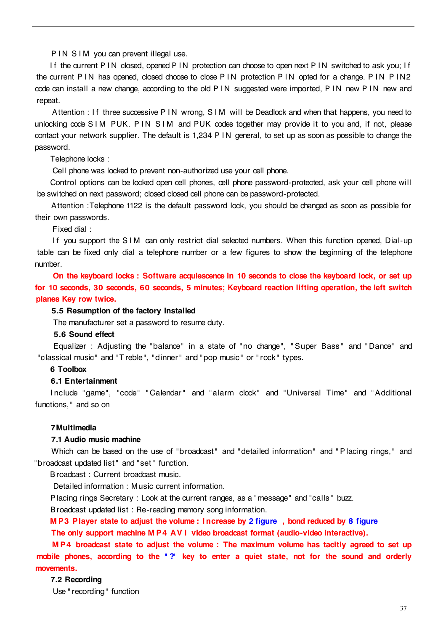P IN S IM you can prevent illegal use.

If the current P IN closed, opened P IN protection can choose to open next P IN switched to ask you; If the current P IN has opened, closed choose to close P IN protection P IN opted for a change. P IN P IN2 code can install a new change, according to the old P IN suggested were imported, P IN new P IN new and repeat.

Attention : If three successive P IN wrong, S IM will be Deadlock and when that happens, you need to unlocking code S I M PUK. P IN S I M and PUK codes together may provide it to you and, if not, please contact your network supplier. The default is 1,234 P I N general, to set up as soon as possible to change the password.

#### Telephone locks :

Cell phone was locked to prevent non-authorized use your cell phone.

Control options can be locked open cell phones, cell phone password-protected, ask your cell phone will be switched on next password; closed closed cell phone can be password-protected.

Attention :Telephone 1122 is the default password lock, you should be changed as soon as possible for their own passwords.

Fixed dial :

If you support the SIM can only restrict dial selected numbers. When this function opened, Dial-up table can be fixed only dial a telephone number or a few figures to show the beginning of the telephone number.

On the keyboard locks : Software acquiescence in 10 seconds to close the keyboard lock, or set up for 10 seconds, 30 seconds, 60 seconds, 5 minutes; Keyboard reaction lifting operation, the left switch planes Key row twice.

#### 5.5 Resumption of the factory installed

The manufacturer set a password to resume duty.

#### 5.6 Sound effect

Equalizer : Adjusting the "balance" in a state of "no change", "Super Bass" and "Dance" and "classical music" and " Treble", "dinner" and "pop music" or " rock " types.

### 6 Toolbox

### 6.1 Entertainment

I nclude "game", "code" " Calendar" and "alarm clock" and "Universal Time" and " Additional functions, " and so on

#### 7Multimedia

#### 7.1 Audio music machine

Which can be based on the use of "broadcast" and "detailed information" and "Placing rings," and "broadcast updated list " and " set " function.

Broadcast : Current broadcast music.

Detailed information : Music current information.

Placing rings Secretary : Look at the current ranges, as a "message" and "calls " buzz.

Broadcast updated list : Re-reading memory song information.

M P3 Player state to adjust the volume : Increase by 2 figure , bond reduced by 8 figure The only support machine M P4 AV I video broadcast format (audio-video interactive).

M P4 broadcast state to adjust the volume : The maximum volume has tacitly agreed to set up mobile phones, according to the "?" key to enter a quiet state, not for the sound and orderly movements.

#### 7.2 Recording

Use " recording" function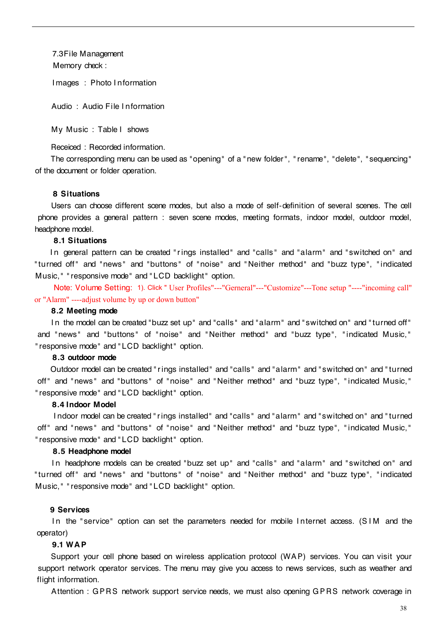7.3File Management Memory check :

I mages : Photo I nformation

Audio : Audio File I n formation

My Music : Table I shows

Receiced : Recorded information.

The corresponding menu can be used as "opening" of a " new folder", " rename", "delete", " sequencing" of the document or folder operation.

### 8 Situations

Users can choose different scene modes, but also a mode of self-definition of several scenes. The cell phone provides a general pattern : seven scene modes, meeting formats, indoor model, outdoor model, headphone model.

#### 8.1 Situations

In general pattern can be created "rings installed" and "calls" and "alarm" and "switched on" and "turned off" and "news" and "buttons" of "noise" and "Neither method" and "buzz type", "indicated Music," " responsive mode" and " LCD backlight" option.

Note: Volume Setting: 1). Click " User Profiles"---"Gerneral"---"Customize"---Tone setup "----"incoming call" or "Alarm" ----adjust volume by up or down button"

#### 8.2 Meeting mode

In the model can be created "buzz set up" and "calls" and "alarm" and "switched on" and "turned off" and " news" and " buttons" of " noise" and " Neither method" and " buzz type", " indicated Music," " responsive mode" and " LCD backlight" option.

### 8.3 outdoor mode

Outdoor model can be created " rings installed" and "calls " and "alarm" and " switched on" and " turned off" and "news" and "buttons" of "noise" and "Neither method" and "buzz type", "indicated Music," " responsive mode" and " LCD backlight" option.

#### 8.4 Indoor Model

I ndoor model can be created " rings installed" and "calls " and "alarm" and " switched on" and " turned off" and "news" and "buttons" of "noise" and "Neither method" and "buzz type", "indicated Music," " responsive mode" and " LCD backlight" option.

#### 8.5 Headphone model

In headphone models can be created "buzz set up" and "calls" and "alarm" and "switched on" and "turned off" and "news" and "buttons" of "noise" and "Neither method" and "buzz type", "indicated Music," " responsive mode" and " LCD backlight" option.

#### 9 Services

In the "service" option can set the parameters needed for mobile Internet access. (SIM and the operator)

#### 9.1 WAP

Support your cell phone based on wireless application protocol (WAP) services. You can visit your support network operator services. The menu may give you access to news services, such as weather and flight information.

Attention : G PRS network support service needs, we must also opening G PRS network coverage in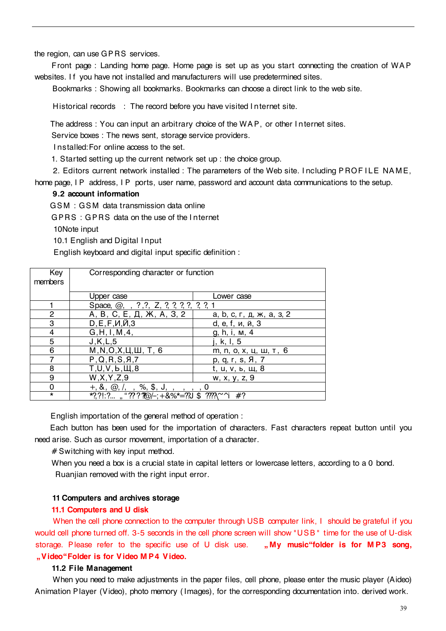the region, can use GP RS services.

Front page : Landing home page. Home page is set up as you start connecting the creation of WAP websites. I f you have not installed and manufacturers will use predetermined sites.

Bookmarks : Showing all bookmarks. Bookmarks can choose a direct link to the web site.

Historical records : The record before you have visited I nternet site.

The address : You can input an arbitrary choice of the WAP, or other I n ternet sites.

Service boxes : The news sent, storage service providers.

I nstalled:For online access to the set.

1. Started setting up the current network set up : the choice group.

2. Editors current network installed : The parameters of the Web site. I ncluding P ROF I LE NAM E, home page, I P address, I P ports, user name, password and account data communications to the setup.

#### 9.2 account information

GS M : GS M data transmission data online

G PRS : G PRS data on the use of the I nternet

10Note input

10.1 English and Digital I nput

English keyboard and digital input specific definition :

| Key<br>members | Corresponding character or function                          |                           |
|----------------|--------------------------------------------------------------|---------------------------|
|                | Upper case                                                   | Lower case                |
|                | Space, $@;$ , $?;$ ?, $Z;$ $?;$ $?;$ $?;$ $?;$ $?;$ $?;$ $1$ |                           |
| 2              | А, В, С, Е, Д, Ж, А, З, 2                                    | а, b, c, г, д, ж, а, з, 2 |
| 3              | $D, E, F, M, \check{M}, 3$                                   | d, e, f, и, й, 3          |
| 4              | G, H, I, M, 4,                                               | g, h, i, m, 4             |
| 5              | J,K,L,5                                                      | j, k, l, 5                |
| 6              | $M, N, O, X, \sqcup, \sqcup, T, 6$                           | m, n, o, x, ц, ш, т, 6    |
|                | P, Q, R, S, A, 7                                             | p, q, r, s, Я, 7          |
| 8              | T,U,V,b,III,8                                                | <u>t, u, v, ь, щ, 8</u>   |
| 9              | W, X, Y, Z, 9                                                | w, x, y, z, 9             |
| 0              | %, \$, J,<br>$+, \&, \&, \mathcal{Q},$                       |                           |
| $\star$        | *?,?!:?," <i>????@</i> /–;+&%*=??J \$ ????\^^i               | #?                        |

English importation of the general method of operation :

Each button has been used for the importation of characters. Fast characters repeat button until you need arise. Such as cursor movement, importation of a character.

# Switching with key input method.

When you need a box is a crucial state in capital letters or lowercase letters, according to a 0 bond. Ruanjian removed with the right input error.

#### 11 Computers and archives storage

#### 11.1 Computers and U disk

When the cell phone connection to the computer through USB computer link, I should be grateful if you would cell phone turned off. 3-5 seconds in the cell phone screen will show "USB " time for the use of U-disk storage. Please refer to the specific use of U disk use. "My music "folder is for MP3 song, Video Folder is for Video M P4 Video.

#### 11.2 File Management

When you need to make adjustments in the paper files, cell phone, please enter the music player (Aideo) Animation Player (Video), photo memory ( Images), for the corresponding documentation into. derived work.